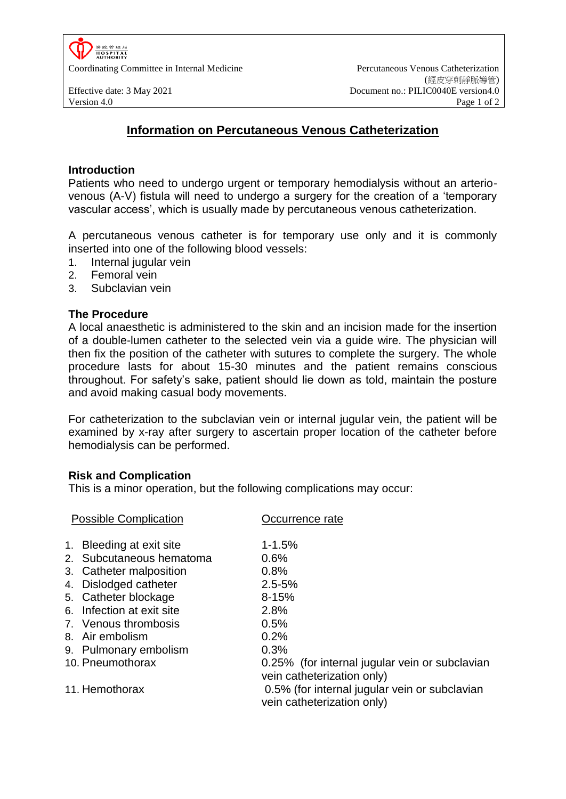

# **Information on Percutaneous Venous Catheterization**

#### **Introduction**

Patients who need to undergo urgent or temporary hemodialysis without an arteriovenous (A-V) fistula will need to undergo a surgery for the creation of a 'temporary vascular access', which is usually made by percutaneous venous catheterization.

A percutaneous venous catheter is for temporary use only and it is commonly inserted into one of the following blood vessels:

- 1. Internal jugular vein
- 2. Femoral vein
- 3. Subclavian vein

### **The Procedure**

A local anaesthetic is administered to the skin and an incision made for the insertion of a double-lumen catheter to the selected vein via a guide wire. The physician will then fix the position of the catheter with sutures to complete the surgery. The whole procedure lasts for about 15-30 minutes and the patient remains conscious throughout. For safety's sake, patient should lie down as told, maintain the posture and avoid making casual body movements.

For catheterization to the subclavian vein or internal jugular vein, the patient will be examined by x-ray after surgery to ascertain proper location of the catheter before hemodialysis can be performed.

### **Risk and Complication**

This is a minor operation, but the following complications may occur:

| <b>Possible Complication</b> |                           | Occurrence rate                                                              |
|------------------------------|---------------------------|------------------------------------------------------------------------------|
|                              | 1. Bleeding at exit site  | $1 - 1.5%$                                                                   |
|                              | 2. Subcutaneous hematoma  | 0.6%                                                                         |
|                              | 3. Catheter malposition   | 0.8%                                                                         |
|                              | 4. Dislodged catheter     | $2.5 - 5%$                                                                   |
|                              | 5. Catheter blockage      | $8 - 15%$                                                                    |
|                              | 6. Infection at exit site | 2.8%                                                                         |
|                              | 7. Venous thrombosis      | 0.5%                                                                         |
|                              | 8. Air embolism           | 0.2%                                                                         |
|                              | 9. Pulmonary embolism     | 0.3%                                                                         |
|                              | 10. Pneumothorax          | 0.25% (for internal jugular vein or subclavian<br>vein catheterization only) |
|                              | 11. Hemothorax            | 0.5% (for internal jugular vein or subclavian<br>vein catheterization only)  |